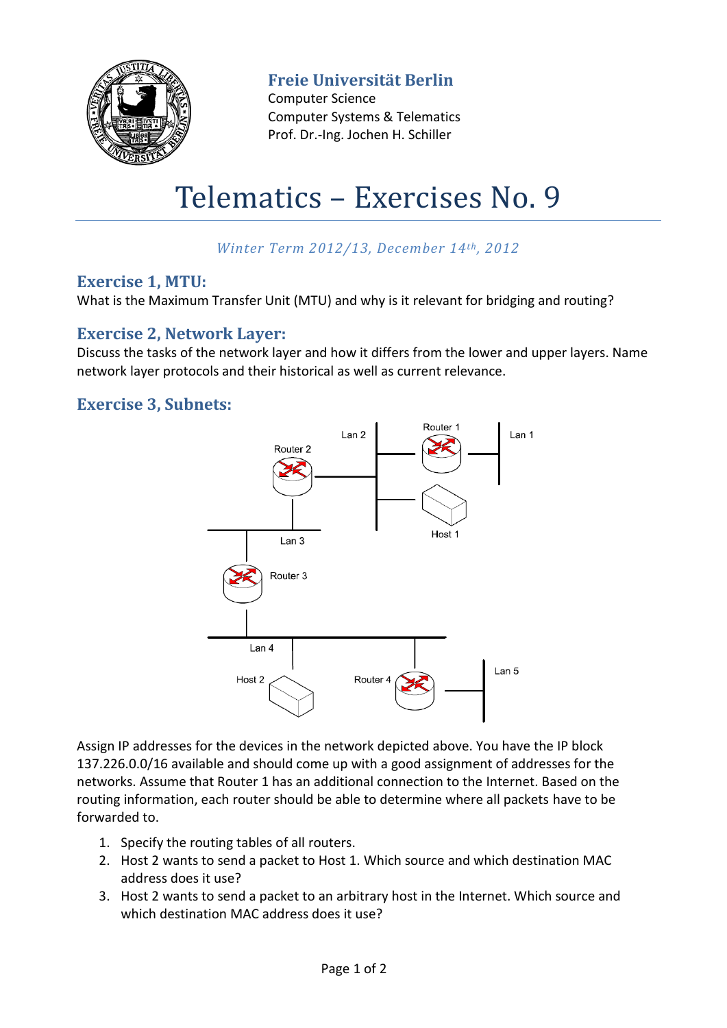

**Freie Universität Berlin**

Computer Science Computer Systems & Telematics Prof. Dr.-Ing. Jochen H. Schiller

# Telematics – Exercises No. 9

# *Winter Term 2012/13, December 14th, 2012*

## **Exercise 1, MTU:**

What is the Maximum Transfer Unit (MTU) and why is it relevant for bridging and routing?

## **Exercise 2, Network Layer:**

Discuss the tasks of the network layer and how it differs from the lower and upper layers. Name network layer protocols and their historical as well as current relevance.

## **Exercise 3, Subnets:**



Assign IP addresses for the devices in the network depicted above. You have the IP block 137.226.0.0/16 available and should come up with a good assignment of addresses for the networks. Assume that Router 1 has an additional connection to the Internet. Based on the routing information, each router should be able to determine where all packets have to be forwarded to.

- 1. Specify the routing tables of all routers.
- 2. Host 2 wants to send a packet to Host 1. Which source and which destination MAC address does it use?
- 3. Host 2 wants to send a packet to an arbitrary host in the Internet. Which source and which destination MAC address does it use?